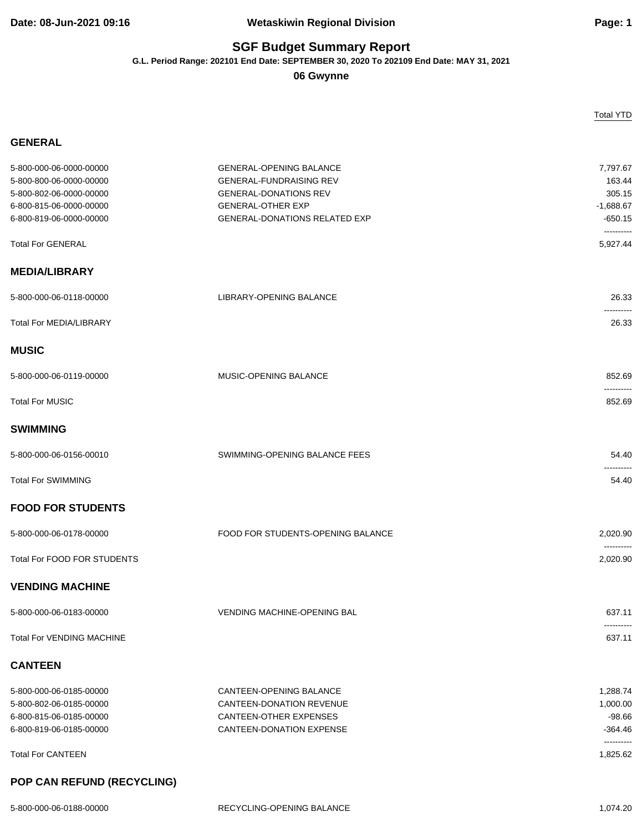## **Date: 08-Jun-2021 09:16 Wetaskiwin Regional Division Page: 1**

## **SGF Budget Summary Report**

**G.L. Period Range: 202101 End Date: SEPTEMBER 30, 2020 To 202109 End Date: MAY 31, 2021**

**06 Gwynne**

|                                                                                                          |                                                                                                                              | <b>Total YTD</b>                                            |
|----------------------------------------------------------------------------------------------------------|------------------------------------------------------------------------------------------------------------------------------|-------------------------------------------------------------|
| <b>GENERAL</b>                                                                                           |                                                                                                                              |                                                             |
| 5-800-000-06-0000-00000<br>5-800-800-06-0000-00000<br>5-800-802-06-0000-00000<br>6-800-815-06-0000-00000 | <b>GENERAL-OPENING BALANCE</b><br><b>GENERAL-FUNDRAISING REV</b><br><b>GENERAL-DONATIONS REV</b><br><b>GENERAL-OTHER EXP</b> | 7,797.67<br>163.44<br>305.15<br>$-1,688.67$                 |
| 6-800-819-06-0000-00000                                                                                  | <b>GENERAL-DONATIONS RELATED EXP</b>                                                                                         | $-650.15$<br>----------                                     |
| <b>Total For GENERAL</b>                                                                                 |                                                                                                                              | 5,927.44                                                    |
| <b>MEDIA/LIBRARY</b>                                                                                     |                                                                                                                              |                                                             |
| 5-800-000-06-0118-00000                                                                                  | LIBRARY-OPENING BALANCE                                                                                                      | 26.33<br>----------                                         |
| <b>Total For MEDIA/LIBRARY</b>                                                                           |                                                                                                                              | 26.33                                                       |
| <b>MUSIC</b>                                                                                             |                                                                                                                              |                                                             |
| 5-800-000-06-0119-00000                                                                                  | MUSIC-OPENING BALANCE                                                                                                        | 852.69<br>----------                                        |
| <b>Total For MUSIC</b>                                                                                   |                                                                                                                              | 852.69                                                      |
| <b>SWIMMING</b>                                                                                          |                                                                                                                              |                                                             |
| 5-800-000-06-0156-00010                                                                                  | SWIMMING-OPENING BALANCE FEES                                                                                                | 54.40                                                       |
| <b>Total For SWIMMING</b>                                                                                |                                                                                                                              | 54.40                                                       |
| <b>FOOD FOR STUDENTS</b>                                                                                 |                                                                                                                              |                                                             |
| 5-800-000-06-0178-00000                                                                                  | FOOD FOR STUDENTS-OPENING BALANCE                                                                                            | 2,020.90                                                    |
| <b>Total For FOOD FOR STUDENTS</b>                                                                       |                                                                                                                              | 2,020.90                                                    |
| <b>VENDING MACHINE</b>                                                                                   |                                                                                                                              |                                                             |
| 5-800-000-06-0183-00000                                                                                  | <b>VENDING MACHINE-OPENING BAL</b>                                                                                           | 637.11<br>.                                                 |
| <b>Total For VENDING MACHINE</b>                                                                         |                                                                                                                              | 637.11                                                      |
| <b>CANTEEN</b>                                                                                           |                                                                                                                              |                                                             |
| 5-800-000-06-0185-00000<br>5-800-802-06-0185-00000<br>6-800-815-06-0185-00000<br>6-800-819-06-0185-00000 | CANTEEN-OPENING BALANCE<br>CANTEEN-DONATION REVENUE<br>CANTEEN-OTHER EXPENSES<br>CANTEEN-DONATION EXPENSE                    | 1,288.74<br>1,000.00<br>$-98.66$<br>$-364.46$<br>---------- |
| <b>Total For CANTEEN</b>                                                                                 |                                                                                                                              | 1,825.62                                                    |
| POP CAN REFUND (RECYCLING)                                                                               |                                                                                                                              |                                                             |